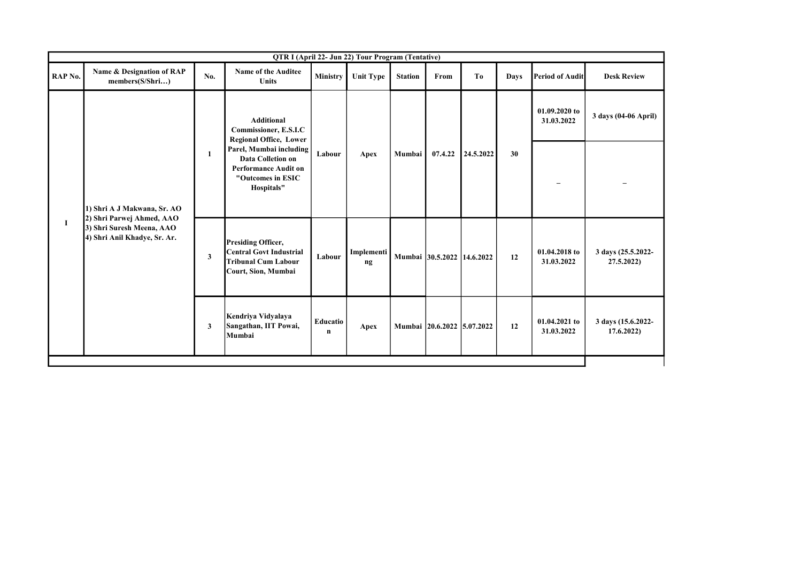| QTR I (April 22- Jun 22) Tour Program (Tentative) |                                                           |     |                                                                                                                       |                         |                             |                |                            |           |                             |                             |                                 |  |
|---------------------------------------------------|-----------------------------------------------------------|-----|-----------------------------------------------------------------------------------------------------------------------|-------------------------|-----------------------------|----------------|----------------------------|-----------|-----------------------------|-----------------------------|---------------------------------|--|
| RAP No.                                           | Name & Designation of RAP<br>members(S/Shri)              | No. | <b>Name of the Auditee</b><br><b>Units</b>                                                                            | Ministry                | <b>Unit Type</b>            | <b>Station</b> | From                       | To        | <b>Days</b>                 | <b>Period of Audit</b>      | <b>Desk Review</b>              |  |
|                                                   |                                                           |     | <b>Additional</b><br>Commissioner, E.S.I.C<br><b>Regional Office, Lower</b>                                           |                         |                             |                |                            |           | 01.09.2020 to<br>31.03.2022 | 3 days (04-06 April)        |                                 |  |
|                                                   | 1) Shri A J Makwana, Sr. AO<br>2) Shri Parwej Ahmed, AAO  | 1   | Parel, Mumbai including<br><b>Data Colletion on</b><br><b>Performance Audit on</b><br>"Outcomes in ESIC<br>Hospitals" | Labour                  | Apex                        | Mumbai         | 07.4.22                    | 24.5.2022 | 30                          |                             |                                 |  |
| $\bf{I}$                                          | 3) Shri Suresh Meena, AAO<br>4) Shri Anil Khadye, Sr. Ar. | 3   | <b>Presiding Officer,</b><br><b>Central Govt Industrial</b><br><b>Tribunal Cum Labour</b><br>Court, Sion, Mumbai      | Labour                  | Implementi<br>$\mathbf{ng}$ |                | Mumbai 30.5.2022 14.6.2022 |           | 12                          | 01.04.2018 to<br>31.03.2022 | 3 days (25.5.2022-<br>27.5.2022 |  |
|                                                   |                                                           | 3   | Kendriya Vidyalaya<br>Sangathan, IIT Powai,<br>Mumbai                                                                 | Educatio<br>$\mathbf n$ | Apex                        |                | Mumbai 20.6.2022 5.07.2022 |           | 12                          | 01.04.2021 to<br>31.03.2022 | 3 days (15.6.2022-<br>17.6.2022 |  |
|                                                   |                                                           |     |                                                                                                                       |                         |                             |                |                            |           |                             |                             |                                 |  |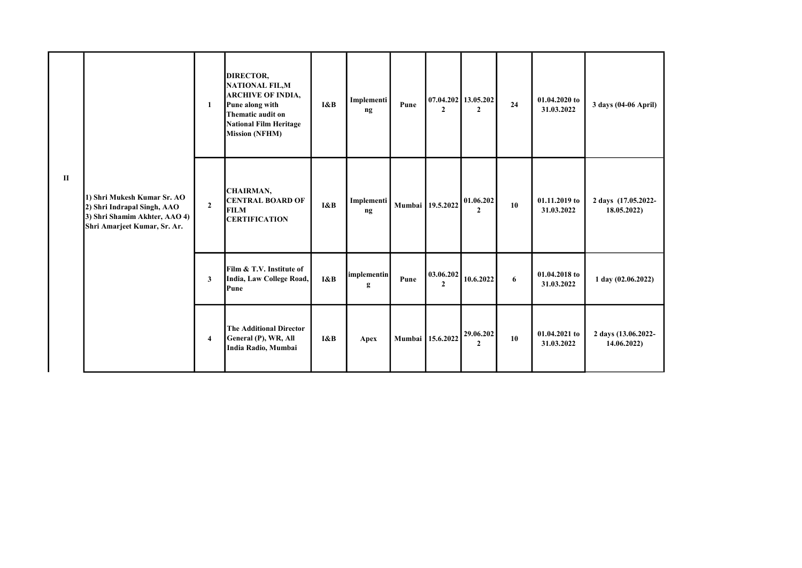|              |                                                                                                                             | 1            | DIRECTOR,<br>NATIONAL FIL, M<br><b>ARCHIVE OF INDIA,</b><br>Pune along with<br>Thematic audit on<br><b>National Film Heritage</b><br><b>Mission (NFHM)</b> | I&B | Implementi<br>ng | Pune | $\mathbf{2}$              | 07.04.202 13.05.202<br>$\overline{2}$ | 24               | 01.04.2020 to<br>31.03.2022 | 3 days (04-06 April)               |
|--------------|-----------------------------------------------------------------------------------------------------------------------------|--------------|------------------------------------------------------------------------------------------------------------------------------------------------------------|-----|------------------|------|---------------------------|---------------------------------------|------------------|-----------------------------|------------------------------------|
| $\mathbf{I}$ | 1) Shri Mukesh Kumar Sr. AO<br>2) Shri Indrapal Singh, AAO<br>3) Shri Shamim Akhter, AAO 4)<br>Shri Amarjeet Kumar, Sr. Ar. | $\mathbf{2}$ | CHAIRMAN,<br><b>CENTRAL BOARD OF</b><br><b>FILM</b><br><b>CERTIFICATION</b>                                                                                | I&B | Implementi<br>ng |      | Mumbai 19.5.2022          | 01.06.202<br>$\mathbf{2}$             | 10               | 01.11.2019 to<br>31.03.2022 | 2 days (17.05.2022-<br>18.05.2022) |
|              |                                                                                                                             | 3            | Film & T.V. Institute of<br>India, Law College Road,<br>Pune                                                                                               | I&B | implementin<br>g | Pune | 03.06.202<br>$\mathbf{2}$ | 10.6.2022                             | $\boldsymbol{6}$ | 01.04.2018 to<br>31.03.2022 | 1 day (02.06.2022)                 |
|              |                                                                                                                             | 4            | <b>The Additional Director</b><br>General (P), WR, All<br>India Radio, Mumbai                                                                              | I&B | Apex             |      | Mumbai 15.6.2022          | 29.06.202<br>$\mathbf{2}$             | 10               | 01.04.2021 to<br>31.03.2022 | 2 days (13.06.2022-<br>14.06.2022  |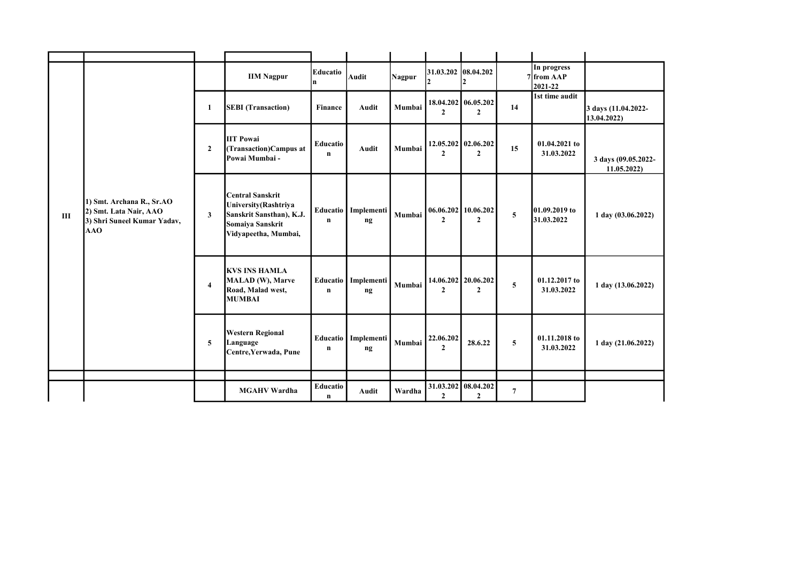|   |                                                                                           |                | <b>IIM Nagpur</b>                                                                                                               | Educatio<br>In.           | <b>Audit</b>                           | Nagpur | $31.03.202$ 08.04.202<br>$\overline{2}$ | $\overline{2}$                            |                | In progress<br>7 from AAP<br>2021-22 |                                    |
|---|-------------------------------------------------------------------------------------------|----------------|---------------------------------------------------------------------------------------------------------------------------------|---------------------------|----------------------------------------|--------|-----------------------------------------|-------------------------------------------|----------------|--------------------------------------|------------------------------------|
| Ш | 1) Smt. Archana R., Sr.AO<br>2) Smt. Lata Nair, AAO<br>3) Shri Suneel Kumar Yadav,<br>AAO | $\mathbf{1}$   | <b>SEBI</b> (Transaction)                                                                                                       | <b>Finance</b>            | Audit                                  | Mumbai | $\mathbf{2}$                            | 18.04.202 06.05.202<br>$\mathbf{2}$       | 14             | 1st time audit                       | 3 days (11.04.2022-<br>13.04.2022) |
|   |                                                                                           | $\mathbf{2}$   | <b>IIT Powai</b><br>(Transaction)Campus at<br>Powai Mumbai -                                                                    | Educatio<br>$\mathbf n$   | Audit                                  | Mumbai | $\mathbf{2}$                            | 12.05.202 02.06.202<br>$\overline{2}$     | 15             | 01.04.2021 to<br>31.03.2022          | 3 days (09.05.2022-<br>11.05.2022  |
|   |                                                                                           | 3              | <b>Central Sanskrit</b><br><b>University</b> (Rashtriya<br>Sanskrit Sansthan), K.J.<br>Somaiya Sanskrit<br>Vidyapeetha, Mumbai, | n                         | Educatio   Implementi<br>$\mathbf{ng}$ | Mumbai | $\mathbf{2}$                            | $06.06.202$   10.06.202<br>$\overline{2}$ | $\overline{5}$ | 01.09.2019 to<br>31.03.2022          | $1$ day $(03.06.2022)$             |
|   |                                                                                           | $\overline{4}$ | <b>KVS INS HAMLA</b><br>MALAD (W), Marve<br>Road, Malad west,<br><b>MUMBAI</b>                                                  | $\mathbf n$               | Educatio   Implementi<br>$\mathbf{ng}$ | Mumbai | $\mathbf{2}$                            | 14.06.202 20.06.202<br>$\overline{2}$     | 5              | 01.12.2017 to<br>31.03.2022          | 1 day (13.06.2022)                 |
|   |                                                                                           | 5              | <b>Western Regional</b><br>Language<br>Centre, Yerwada, Pune                                                                    | Educatio  <br>$\mathbf n$ | Implementi<br>ng                       | Mumbai | 22.06.202<br>$\mathbf{2}$               | 28.6.22                                   | 5              | 01.11.2018 to<br>31.03.2022          | 1 day (21.06.2022)                 |
|   |                                                                                           |                |                                                                                                                                 |                           |                                        |        |                                         |                                           |                |                                      |                                    |
|   |                                                                                           |                | <b>MGAHV Wardha</b>                                                                                                             | Educatio<br>n             | Audit                                  | Wardha | 31.03.202 08.04.202<br>$\mathbf{2}$     | $\mathbf{2}$                              | 7              |                                      |                                    |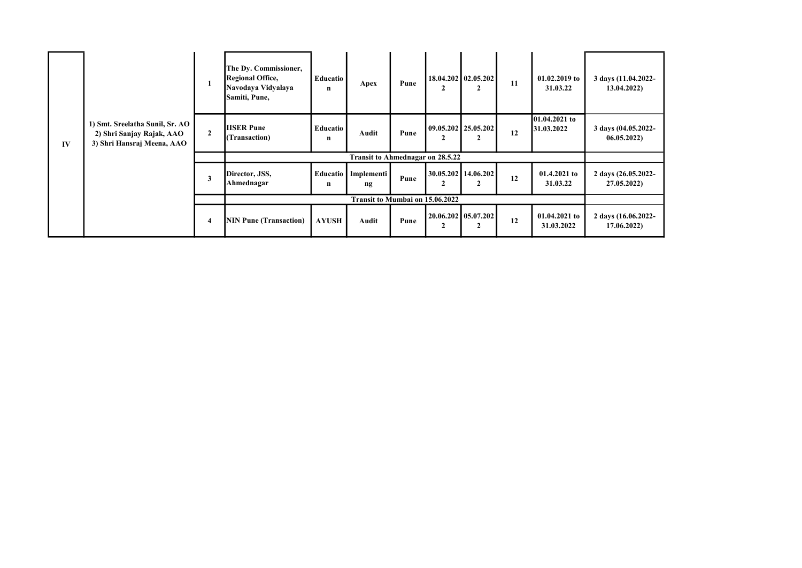| IV | 1) Smt. Sreelatha Sunil, Sr. AO<br>2) Shri Sanjay Rajak, AAO<br>3) Shri Hansraj Meena, AAO |              | The Dy. Commissioner,<br><b>Regional Office,</b><br>Navodaya Vidyalaya<br>Samiti, Pune, | <b>Educatio</b><br>n | Apex                                    | Pune |   | 18.04.202   02.05.202  <br>$\overline{2}$ | 11 | 01.02.2019 to<br>31.03.22   | 3 days (11.04.2022-<br>13.04.2022) |
|----|--------------------------------------------------------------------------------------------|--------------|-----------------------------------------------------------------------------------------|----------------------|-----------------------------------------|------|---|-------------------------------------------|----|-----------------------------|------------------------------------|
|    |                                                                                            | $\mathbf{2}$ | <b>IISER Pune</b><br>(Transaction)                                                      | <b>Educatio</b><br>n | Audit                                   | Pune |   | 09.05.202 25.05.202<br>2                  | 12 | 01.04.2021 to<br>31.03.2022 | 3 days (04.05.2022-<br>06.05.2022  |
|    |                                                                                            |              |                                                                                         |                      | <b>Transit to Ahmednagar on 28.5.22</b> |      |   |                                           |    |                             |                                    |
|    |                                                                                            | 3            | Director, JSS,<br>Ahmednagar                                                            | <b>Educatio</b><br>n | Implementi<br>ng                        | Pune | 2 | 30.05.202   14.06.202  <br>2              | 12 | $01.4.2021$ to<br>31.03.22  | 2 days (26.05.2022-<br>27.05.2022) |
|    |                                                                                            |              |                                                                                         |                      | Transit to Mumbai on 15.06.2022         |      |   |                                           |    |                             |                                    |
|    |                                                                                            | 4            | <b>NIN Pune (Transaction)</b>                                                           | <b>AYUSH</b>         | Audit                                   | Pune |   | 20.06.202   05.07.202<br>$\mathbf{2}$     | 12 | 01.04.2021 to<br>31.03.2022 | 2 days (16.06.2022-<br>17.06.2022) |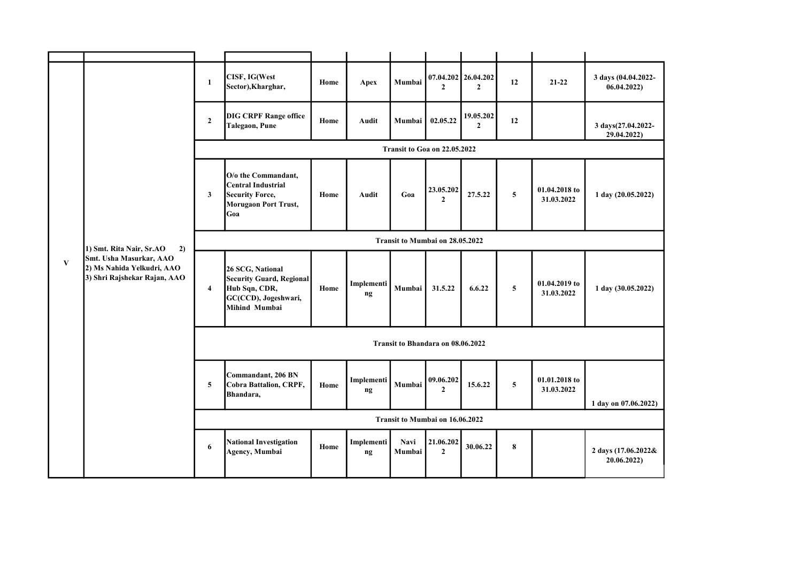| $\mathbf{V}$ |                                                                                                                         | $\mathbf{1}$                      | CISF, IG(West<br>Sector), Kharghar,                                                                           | Home | Apex             | Mumbai         | $\mathbf{2}$                    | 07.04.202 26.04.202<br>$\mathbf{2}$ | 12             | $21 - 22$                   | 3 days (04.04.2022-<br>06.04.2022) |  |
|--------------|-------------------------------------------------------------------------------------------------------------------------|-----------------------------------|---------------------------------------------------------------------------------------------------------------|------|------------------|----------------|---------------------------------|-------------------------------------|----------------|-----------------------------|------------------------------------|--|
|              | 1) Smt. Rita Nair, Sr.AO<br>2)<br>Smt. Usha Masurkar, AAO<br>2) Ms Nahida Yelkudri, AAO<br>3) Shri Rajshekar Rajan, AAO | $\mathbf{2}$                      | <b>DIG CRPF Range office</b><br>Talegaon, Pune                                                                | Home | Audit            | Mumbai         | 02.05.22                        | 19.05.202<br>$\mathbf{2}$           | 12             |                             | 3 days(27.04.2022-<br>29.04.2022)  |  |
|              |                                                                                                                         | Transit to Goa on 22.05.2022      |                                                                                                               |      |                  |                |                                 |                                     |                |                             |                                    |  |
|              |                                                                                                                         | $\mathbf{3}$                      | O/o the Commandant,<br>Central Industrial<br><b>Security Force,</b><br><b>Morugaon Port Trust,</b><br>Goa     | Home | Audit            | Goa            | 23.05.202<br>$\mathbf{2}$       | 27.5.22                             | $\overline{5}$ | 01.04.2018 to<br>31.03.2022 | 1 day (20.05.2022)                 |  |
|              |                                                                                                                         |                                   |                                                                                                               |      |                  |                | Transit to Mumbai on 28.05.2022 |                                     |                |                             |                                    |  |
|              |                                                                                                                         | $\overline{\mathbf{4}}$           | 26 SCG, National<br><b>Security Guard, Regional</b><br>Hub Sqn, CDR,<br>GC(CCD), Jogeshwari,<br>Mihind Mumbai | Home | Implementi<br>ng | Mumbai         | 31.5.22                         | 6.6.22                              | $\overline{5}$ | 01.04.2019 to<br>31.03.2022 | 1 day (30.05.2022)                 |  |
|              |                                                                                                                         | Transit to Bhandara on 08.06.2022 |                                                                                                               |      |                  |                |                                 |                                     |                |                             |                                    |  |
|              |                                                                                                                         | 5                                 | Commandant, 206 BN<br>Cobra Battalion, CRPF,<br>Bhandara,                                                     | Home | Implementi<br>ng | Mumbai         | 09.06.202<br>$\mathbf{2}$       | 15.6.22                             | $\overline{5}$ | 01.01.2018 to<br>31.03.2022 | 1 day on 07.06.2022)               |  |
|              |                                                                                                                         |                                   |                                                                                                               |      |                  |                | Transit to Mumbai on 16.06.2022 |                                     |                |                             |                                    |  |
|              |                                                                                                                         | 6                                 | <b>National Investigation</b><br>Agency, Mumbai                                                               | Home | Implementi<br>ng | Navi<br>Mumbai | 21.06.202<br>$\mathbf{2}$       | 30.06.22                            | $\bf 8$        |                             | 2 days (17.06.2022&<br>20.06.2022) |  |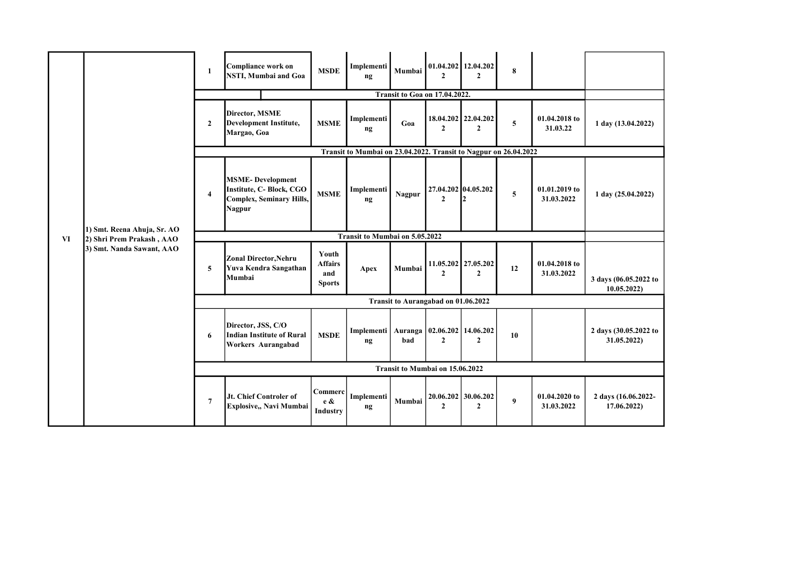|    |                                                                                       | $\mathbf{1}$                        | Compliance work on<br><b>NSTI, Mumbai and Goa</b>                                                       | <b>MSDE</b>                                     | Implementi<br>$\mathbf{ng}$                                      | Mumbai | $\mathbf{2}$                                   | $01.04.202$ 12.04.202<br>$\overline{2}$ | 8         |                             |                                      |
|----|---------------------------------------------------------------------------------------|-------------------------------------|---------------------------------------------------------------------------------------------------------|-------------------------------------------------|------------------------------------------------------------------|--------|------------------------------------------------|-----------------------------------------|-----------|-----------------------------|--------------------------------------|
|    |                                                                                       |                                     |                                                                                                         |                                                 |                                                                  |        | <b>Transit to Goa on 17.04.2022.</b>           |                                         |           |                             |                                      |
|    |                                                                                       | $\mathbf{2}$                        | Director, MSME<br><b>Development Institute,</b><br>Margao, Goa                                          | <b>MSME</b>                                     | Implementi<br>ng                                                 | Goa    | $\mathbf{2}$                                   | 18.04.202 22.04.202<br>$\mathbf{2}$     | ${\bf 5}$ | 01.04.2018 to<br>31.03.22   | 1 day (13.04.2022)                   |
|    |                                                                                       |                                     |                                                                                                         |                                                 | Transit to Mumbai on 23.04.2022. Transit to Nagpur on 26.04.2022 |        |                                                |                                         |           |                             |                                      |
|    | 1) Smt. Reena Ahuja, Sr. AO<br>2) Shri Prem Prakash, AAO<br>3) Smt. Nanda Sawant, AAO | $\overline{4}$                      | <b>MSME-Development</b><br>Institute, C- Block, CGO<br><b>Complex, Seminary Hills,</b><br><b>Nagpur</b> | <b>MSME</b>                                     | Implementi<br>ng                                                 | Nagpur | 27.04.202 04.05.202<br>$\overline{2}$          | 12                                      | 5         | 01.01.2019 to<br>31.03.2022 | 1 day (25.04.2022)                   |
| VI |                                                                                       | Transit to Mumbai on 5.05.2022      |                                                                                                         |                                                 |                                                                  |        |                                                |                                         |           |                             |                                      |
|    |                                                                                       | 5                                   | <b>Zonal Director, Nehru</b><br>Yuva Kendra Sangathan<br>Mumbai                                         | Youth<br><b>Affairs</b><br>and<br><b>Sports</b> | Apex                                                             | Mumbai | $\mathbf{2}$                                   | 11.05.202 27.05.202<br>$\overline{2}$   | 12        | 01.04.2018 to<br>31.03.2022 | 3 days (06.05.2022 to<br>10.05.2022  |
|    |                                                                                       | Transit to Aurangabad on 01.06.2022 |                                                                                                         |                                                 |                                                                  |        |                                                |                                         |           |                             |                                      |
|    |                                                                                       | 6                                   | Director, JSS, C/O<br><b>Indian Institute of Rural</b><br>Workers Aurangabad                            | <b>MSDE</b>                                     | Implementi   Auranga<br>ng                                       | bad    | $\mid$ 02.06.202   14.06.202<br>$\overline{2}$ | $\overline{2}$                          | 10        |                             | 2 days (30.05.2022 to<br>31.05.2022) |
|    |                                                                                       |                                     |                                                                                                         |                                                 |                                                                  |        | Transit to Mumbai on 15.06.2022                |                                         |           |                             |                                      |
|    |                                                                                       | $\overline{7}$                      | Jt. Chief Controler of<br>Explosive,, Navi Mumbai                                                       | Commerc<br>$e \&$<br>Industry                   | Implementi<br>ng                                                 | Mumbai | $\mathbf{2}$                                   | 20.06.202 30.06.202<br>$\overline{2}$   | 9         | 01.04.2020 to<br>31.03.2022 | 2 days (16.06.2022-<br>17.06.2022    |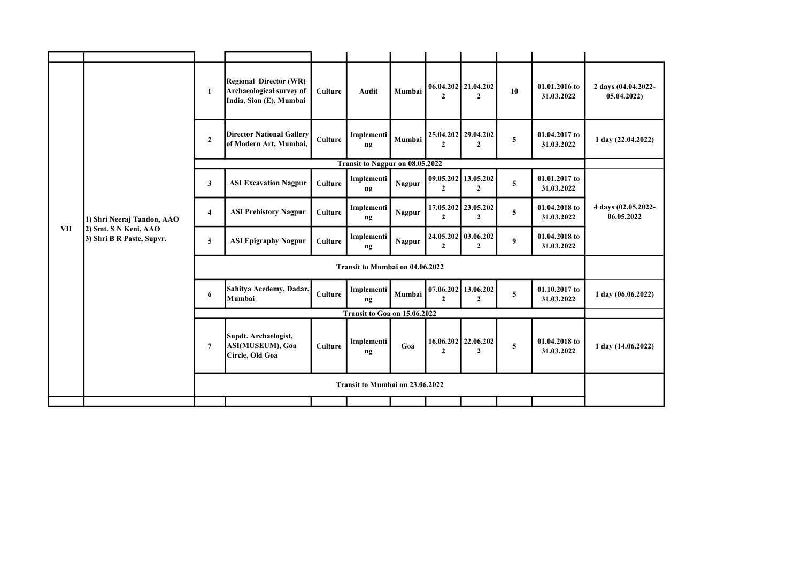|            |                                                                                  | $\mathbf{1}$   | <b>Regional Director (WR)</b><br>Archaeological survey of<br>India, Sion (E), Mumbai | <b>Culture</b> | <b>Audit</b>                    | Mumbai        | $\mathbf{2}$   | 06.04.202 21.04.202<br>$\overline{2}$ | 10               | 01.01.2016 to<br>31.03.2022 | 2 days (04.04.2022-<br>05.04.2022) |
|------------|----------------------------------------------------------------------------------|----------------|--------------------------------------------------------------------------------------|----------------|---------------------------------|---------------|----------------|---------------------------------------|------------------|-----------------------------|------------------------------------|
|            |                                                                                  | $\overline{2}$ | <b>Director National Gallery</b><br>of Modern Art, Mumbai,                           | <b>Culture</b> | Implementi<br>ng                | Mumbai        | $\mathbf{2}$   | 25.04.202   29.04.202<br>2            | 5                | 01.04.2017 to<br>31.03.2022 | 1 day (22.04.2022)                 |
|            |                                                                                  |                |                                                                                      |                | Transit to Nagpur on 08.05.2022 |               |                |                                       |                  |                             |                                    |
|            |                                                                                  | 3              | <b>ASI Excavation Nagpur</b>                                                         | <b>Culture</b> | Implementi<br>ng                | Nagpur        | $\overline{2}$ | 09.05.202 13.05.202<br>$\mathbf{2}$   | 5                | 01.01.2017 to<br>31.03.2022 |                                    |
|            | 1) Shri Neeraj Tandon, AAO<br>2) Smt. S N Keni, AAO<br>3) Shri B R Paste, Supvr. | 4              | <b>ASI Prehistory Nagpur</b>                                                         | Culture        | Implementi<br>nq                | Nagpur        | $\overline{2}$ | 17.05.202 23.05.202<br>$\mathbf{2}$   | 5                | 01.04.2018 to<br>31.03.2022 | 4 days (02.05.2022-<br>06.05.2022  |
| <b>VII</b> |                                                                                  | 5              | <b>ASI Epigraphy Nagpur</b>                                                          | <b>Culture</b> | Implementi<br>ng                | <b>Nagpur</b> | $\overline{2}$ | 24.05.202 03.06.202<br>$\overline{2}$ | $\boldsymbol{9}$ | 01.04.2018 to<br>31.03.2022 |                                    |
|            |                                                                                  |                |                                                                                      |                |                                 |               |                |                                       |                  |                             |                                    |
|            |                                                                                  | 6              | Sahitya Acedemy, Dadar,<br>Mumbai                                                    | <b>Culture</b> | Implementi<br>ng                | Mumbai        | $\overline{2}$ | $07.06.202$ 13.06.202<br>$\mathbf{2}$ | 5                | 01.10.2017 to<br>31.03.2022 | 1 day (06.06.2022)                 |
|            |                                                                                  |                |                                                                                      |                | Transit to Goa on 15.06.2022    |               |                |                                       |                  |                             |                                    |
|            |                                                                                  | $\overline{7}$ | Supdt. Archaelogist,<br>ASI(MUSEUM), Goa<br>Circle, Old Goa                          | <b>Culture</b> | Implementi<br>nq                | Goa           | $\overline{2}$ | 16.06.202 22.06.202<br>$\mathbf{2}$   | 5                | 01.04.2018 to<br>31.03.2022 | 1 day (14.06.2022)                 |
|            |                                                                                  |                |                                                                                      |                |                                 |               |                |                                       |                  |                             |                                    |
|            |                                                                                  |                |                                                                                      |                |                                 |               |                |                                       |                  |                             |                                    |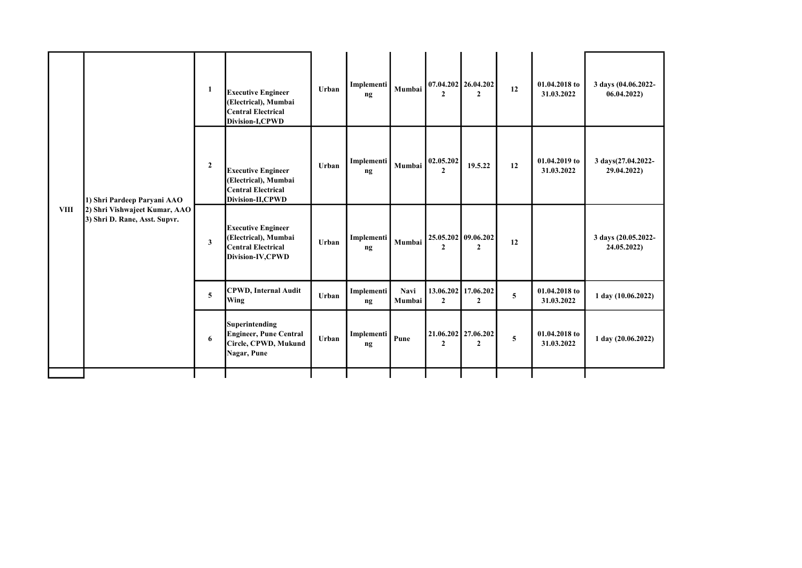|             | 1) Shri Pardeep Paryani AAO<br>2) Shri Vishwajeet Kumar, AAO<br>3) Shri D. Rane, Asst. Supvr. | 1              | <b>Executive Engineer</b><br>(Electrical), Mumbai<br><b>Central Electrical</b><br>Division-I,CPWD  | Urban | Implementi<br>ng | Mumbai         | $\mathbf{2}$              | $07.04.202$ 26.04.202<br>$\mathbf{2}$ | 12 | 01.04.2018 to<br>31.03.2022 | 3 days (04.06.2022-<br>06.04.2022) |
|-------------|-----------------------------------------------------------------------------------------------|----------------|----------------------------------------------------------------------------------------------------|-------|------------------|----------------|---------------------------|---------------------------------------|----|-----------------------------|------------------------------------|
|             |                                                                                               | $\overline{2}$ | <b>Executive Engineer</b><br>(Electrical), Mumbai<br><b>Central Electrical</b><br>Division-II,CPWD | Urban | Implementi<br>nq | Mumbai         | 02.05.202<br>$\mathbf{2}$ | 19.5.22                               | 12 | 01.04.2019 to<br>31.03.2022 | 3 days(27.04.2022-<br>29.04.2022)  |
| <b>VIII</b> |                                                                                               | 3              | <b>Executive Engineer</b><br>(Electrical), Mumbai<br><b>Central Electrical</b><br>Division-IV,CPWD | Urban | Implementi<br>ng | Mumbai         | $\mathbf{2}$              | 25.05.202 09.06.202<br>$\overline{2}$ | 12 |                             | 3 days (20.05.2022-<br>24.05.2022) |
|             |                                                                                               | 5              | <b>CPWD, Internal Audit</b><br>Wing                                                                | Urban | Implementi<br>ng | Navi<br>Mumbai | $\overline{2}$            | 13.06.202 17.06.202<br>$\overline{2}$ | 5  | 01.04.2018 to<br>31.03.2022 | 1 day (10.06.2022)                 |
|             |                                                                                               | 6              | Superintending<br><b>Engineer, Pune Central</b><br>Circle, CPWD, Mukund<br>Nagar, Pune             | Urban | Implementi<br>ng | Pune           | $\mathbf{2}$              | 21.06.202 27.06.202<br>$\mathbf{2}$   | 5  | 01.04.2018 to<br>31.03.2022 | $1 \text{ day} (20.06.2022)$       |
|             |                                                                                               |                |                                                                                                    |       |                  |                |                           |                                       |    |                             |                                    |